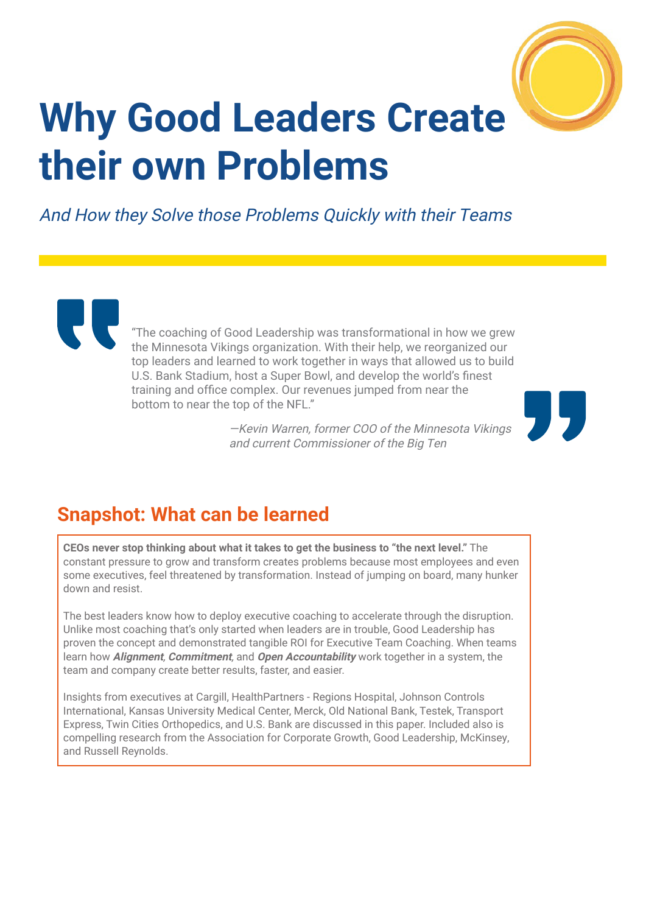

# **Why Good Leaders Create their own Problems**

And How they Solve those Problems Quickly with their Teams

"The coaching of Good Leadership was transformational in how we grew the Minnesota Vikings organization. With their help, we reorganized our top leaders and learned to work together in ways that allowed us to build U.S. Bank Stadium, host a Super Bowl, and develop the world's finest training and office complex. Our revenues jumped from near the bottom to near the top of the NFL."

> —Kevin Warren, former COO of the Minnesota Vikings and current Commissioner of the Big Ten



# **Snapshot: What can be learned**

**CEOs never stop thinking about what it takes to get the business to "the next level."** The constant pressure to grow and transform creates problems because most employees and even some executives, feel threatened by transformation. Instead of jumping on board, many hunker down and resist.

The best leaders know how to deploy executive coaching to accelerate through the disruption. Unlike most coaching that's only started when leaders are in trouble, Good Leadership has proven the concept and demonstrated tangible ROI for Executive Team Coaching. When teams learn how **Alignment**, **Commitment**, and **Open Accountability** work together in a system, the team and company create better results, faster, and easier.

Insights from executives at Cargill, HealthPartners - Regions Hospital, Johnson Controls International, Kansas University Medical Center, Merck, Old National Bank, Testek, Transport Express, Twin Cities Orthopedics, and U.S. Bank are discussed in this paper. Included also is compelling research from the Association for Corporate Growth, Good Leadership, McKinsey, and Russell Reynolds.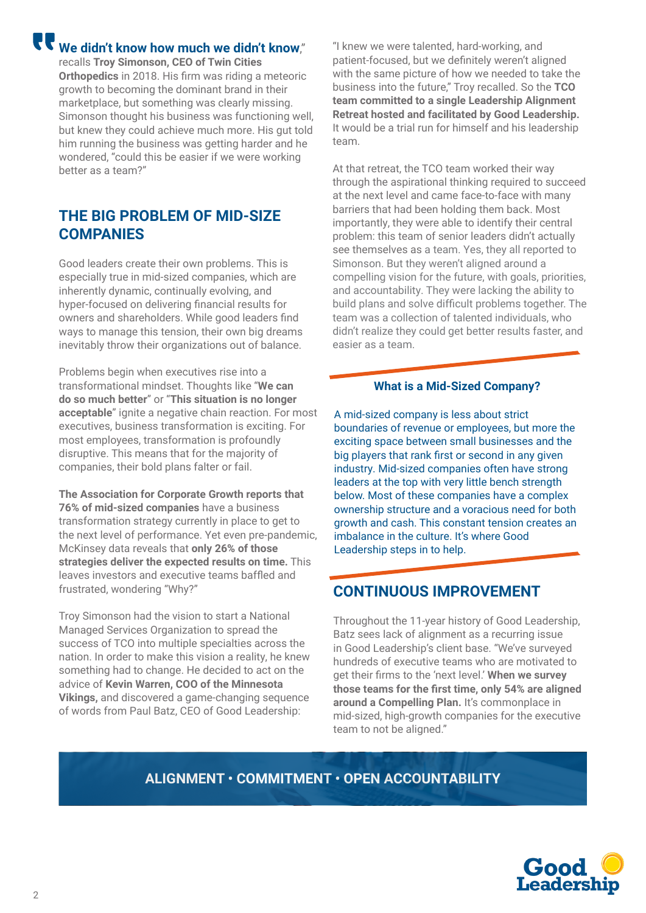**We didn't know how much we didn't know**,"

recalls **Troy Simonson, CEO of Twin Cities Orthopedics** in 2018. His firm was riding a meteoric growth to becoming the dominant brand in their marketplace, but something was clearly missing. Simonson thought his business was functioning well, but knew they could achieve much more. His gut told him running the business was getting harder and he wondered, "could this be easier if we were working better as a team?"

## **THE BIG PROBLEM OF MID-SIZE COMPANIES**

Good leaders create their own problems. This is especially true in mid-sized companies, which are inherently dynamic, continually evolving, and hyper-focused on delivering financial results for owners and shareholders. While good leaders find ways to manage this tension, their own big dreams inevitably throw their organizations out of balance.

Problems begin when executives rise into a transformational mindset. Thoughts like "**We can do so much better**" or "**This situation is no longer acceptable**" ignite a negative chain reaction. For most executives, business transformation is exciting. For most employees, transformation is profoundly disruptive. This means that for the majority of companies, their bold plans falter or fail.

**The Association for Corporate Growth reports that 76% of mid-sized companies** have a business transformation strategy currently in place to get to the next level of performance. Yet even pre-pandemic, McKinsey data reveals that **only 26% of those strategies deliver the expected results on time.** This leaves investors and executive teams baffled and frustrated, wondering "Why?"

Troy Simonson had the vision to start a National Managed Services Organization to spread the success of TCO into multiple specialties across the nation. In order to make this vision a reality, he knew something had to change. He decided to act on the advice of **Kevin Warren, COO of the Minnesota Vikings,** and discovered a game-changing sequence of words from Paul Batz, CEO of Good Leadership:

"I knew we were talented, hard-working, and patient-focused, but we definitely weren't aligned with the same picture of how we needed to take the business into the future," Troy recalled. So the **TCO team committed to a single Leadership Alignment Retreat hosted and facilitated by Good Leadership.**  It would be a trial run for himself and his leadership team.

At that retreat, the TCO team worked their way through the aspirational thinking required to succeed at the next level and came face-to-face with many barriers that had been holding them back. Most importantly, they were able to identify their central problem: this team of senior leaders didn't actually see themselves as a team. Yes, they all reported to Simonson. But they weren't aligned around a compelling vision for the future, with goals, priorities, and accountability. They were lacking the ability to build plans and solve difficult problems together. The team was a collection of talented individuals, who didn't realize they could get better results faster, and easier as a team.

#### **What is a Mid-Sized Company?**

A mid-sized company is less about strict boundaries of revenue or employees, but more the exciting space between small businesses and the big players that rank first or second in any given industry. Mid-sized companies often have strong leaders at the top with very little bench strength below. Most of these companies have a complex ownership structure and a voracious need for both growth and cash. This constant tension creates an imbalance in the culture. It's where Good Leadership steps in to help.

#### **CONTINUOUS IMPROVEMENT**

Throughout the 11-year history of Good Leadership, Batz sees lack of alignment as a recurring issue in Good Leadership's client base. "We've surveyed hundreds of executive teams who are motivated to get their firms to the 'next level.' **When we survey those teams for the first time, only 54% are aligned around a Compelling Plan.** It's commonplace in mid-sized, high-growth companies for the executive team to not be aligned."

#### **ALIGNMENT • COMMITMENT • OPEN ACCOUNTABILITY**

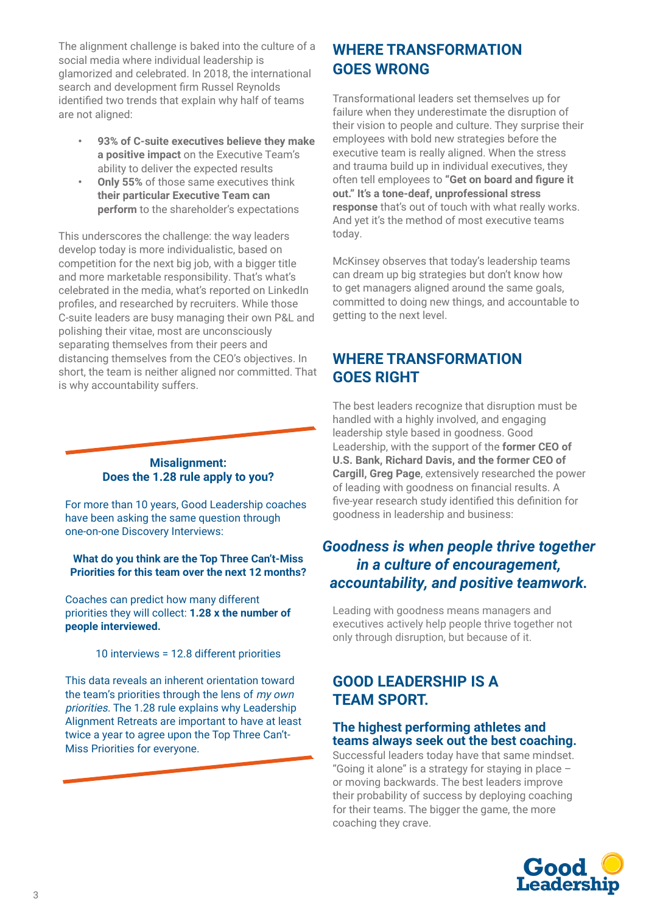The alignment challenge is baked into the culture of a social media where individual leadership is glamorized and celebrated. In 2018, the international search and development firm Russel Reynolds identified two trends that explain why half of teams are not aligned:

- **• 93% of C-suite executives believe they make a positive impact** on the Executive Team's ability to deliver the expected results
- **• Only 55%** of those same executives think **their particular Executive Team can perform** to the shareholder's expectations

This underscores the challenge: the way leaders develop today is more individualistic, based on competition for the next big job, with a bigger title and more marketable responsibility. That's what's celebrated in the media, what's reported on LinkedIn profiles, and researched by recruiters. While those C-suite leaders are busy managing their own P&L and polishing their vitae, most are unconsciously separating themselves from their peers and distancing themselves from the CEO's objectives. In short, the team is neither aligned nor committed. That is why accountability suffers.

#### **Misalignment: Does the 1.28 rule apply to you?**

For more than 10 years, Good Leadership coaches have been asking the same question through one-on-one Discovery Interviews:

**What do you think are the Top Three Can't-Miss Priorities for this team over the next 12 months?**

Coaches can predict how many different priorities they will collect: **1.28 x the number of people interviewed.**

10 interviews = 12.8 different priorities

This data reveals an inherent orientation toward the team's priorities through the lens of my own priorities. The 1.28 rule explains why Leadership Alignment Retreats are important to have at least twice a year to agree upon the Top Three Can't-Miss Priorities for everyone.

## **WHERE TRANSFORMATION GOES WRONG**

Transformational leaders set themselves up for failure when they underestimate the disruption of their vision to people and culture. They surprise their employees with bold new strategies before the executive team is really aligned. When the stress and trauma build up in individual executives, they often tell employees to **"Get on board and figure it out." It's a tone-deaf, unprofessional stress response** that's out of touch with what really works. And yet it's the method of most executive teams today.

McKinsey observes that today's leadership teams can dream up big strategies but don't know how to get managers aligned around the same goals, committed to doing new things, and accountable to getting to the next level.

## **WHERE TRANSFORMATION GOES RIGHT**

The best leaders recognize that disruption must be handled with a highly involved, and engaging leadership style based in goodness. Good Leadership, with the support of the **former CEO of U.S. Bank, Richard Davis, and the former CEO of Cargill, Greg Page**, extensively researched the power of leading with goodness on financial results. A five-year research study identified this definition for goodness in leadership and business:

## *Goodness is when people thrive together in a culture of encouragement, accountability, and positive teamwork.*

Leading with goodness means managers and executives actively help people thrive together not only through disruption, but because of it.

## **GOOD LEADERSHIP IS A TEAM SPORT.**

#### **The highest performing athletes and teams always seek out the best coaching.**

Successful leaders today have that same mindset. "Going it alone" is a strategy for staying in place – or moving backwards. The best leaders improve their probability of success by deploying coaching for their teams. The bigger the game, the more coaching they crave.

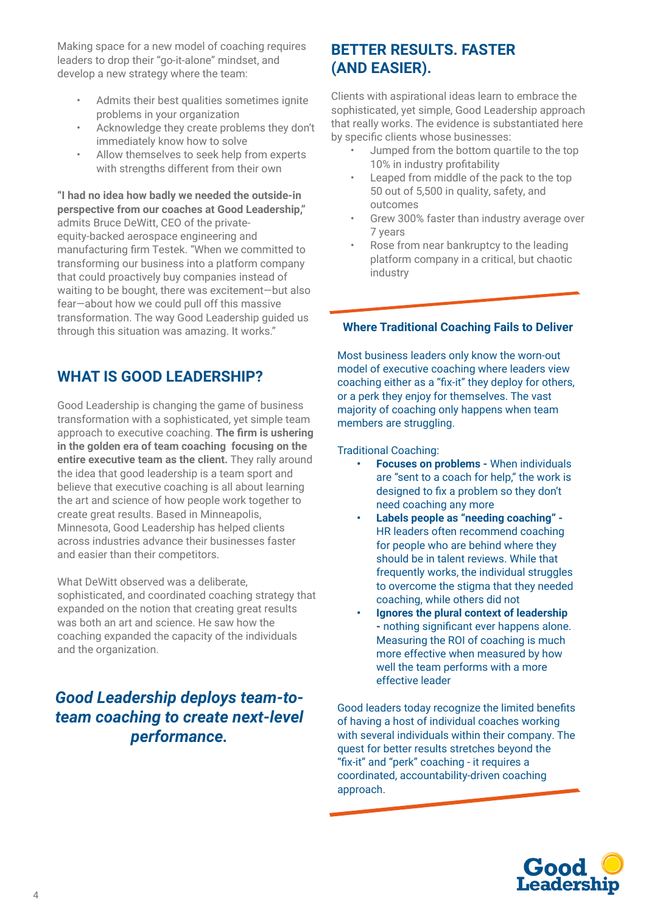Making space for a new model of coaching requires leaders to drop their "go-it-alone" mindset, and develop a new strategy where the team:

- Admits their best qualities sometimes ignite problems in your organization
- Acknowledge they create problems they don't immediately know how to solve
- Allow themselves to seek help from experts with strengths different from their own

**"I had no idea how badly we needed the outside-in perspective from our coaches at Good Leadership,"**  admits Bruce DeWitt, CEO of the privateequity-backed aerospace engineering and manufacturing firm Testek. "When we committed to transforming our business into a platform company that could proactively buy companies instead of waiting to be bought, there was excitement—but also fear—about how we could pull off this massive transformation. The way Good Leadership guided us through this situation was amazing. It works."

## **WHAT IS GOOD LEADERSHIP?**

Good Leadership is changing the game of business transformation with a sophisticated, yet simple team approach to executive coaching. **The firm is ushering in the golden era of team coaching focusing on the entire executive team as the client.** They rally around the idea that good leadership is a team sport and believe that executive coaching is all about learning the art and science of how people work together to create great results. Based in Minneapolis, Minnesota, Good Leadership has helped clients across industries advance their businesses faster and easier than their competitors.

What DeWitt observed was a deliberate, sophisticated, and coordinated coaching strategy that expanded on the notion that creating great results was both an art and science. He saw how the coaching expanded the capacity of the individuals and the organization.

## *Good Leadership deploys team-toteam coaching to create next-level performance.*

#### **BETTER RESULTS. FASTER (AND EASIER).**

Clients with aspirational ideas learn to embrace the sophisticated, yet simple, Good Leadership approach that really works. The evidence is substantiated here by specific clients whose businesses:

- Jumped from the bottom quartile to the top 10% in industry profitability
- Leaped from middle of the pack to the top 50 out of 5,500 in quality, safety, and outcomes
- Grew 300% faster than industry average over 7 years
- Rose from near bankruptcy to the leading platform company in a critical, but chaotic industry

#### **Where Traditional Coaching Fails to Deliver**

Most business leaders only know the worn-out model of executive coaching where leaders view coaching either as a "fix-it" they deploy for others, or a perk they enjoy for themselves. The vast majority of coaching only happens when team members are struggling.

#### Traditional Coaching:

- **• Focuses on problems** When individuals are "sent to a coach for help," the work is designed to fix a problem so they don't need coaching any more
- **• Labels people as "needing coaching"**  HR leaders often recommend coaching for people who are behind where they should be in talent reviews. While that frequently works, the individual struggles to overcome the stigma that they needed coaching, while others did not
- **• Ignores the plural context of leadership -** nothing significant ever happens alone. Measuring the ROI of coaching is much more effective when measured by how well the team performs with a more effective leader

Good leaders today recognize the limited benefits of having a host of individual coaches working with several individuals within their company. The quest for better results stretches beyond the "fix-it" and "perk" coaching - it requires a coordinated, accountability-driven coaching approach.

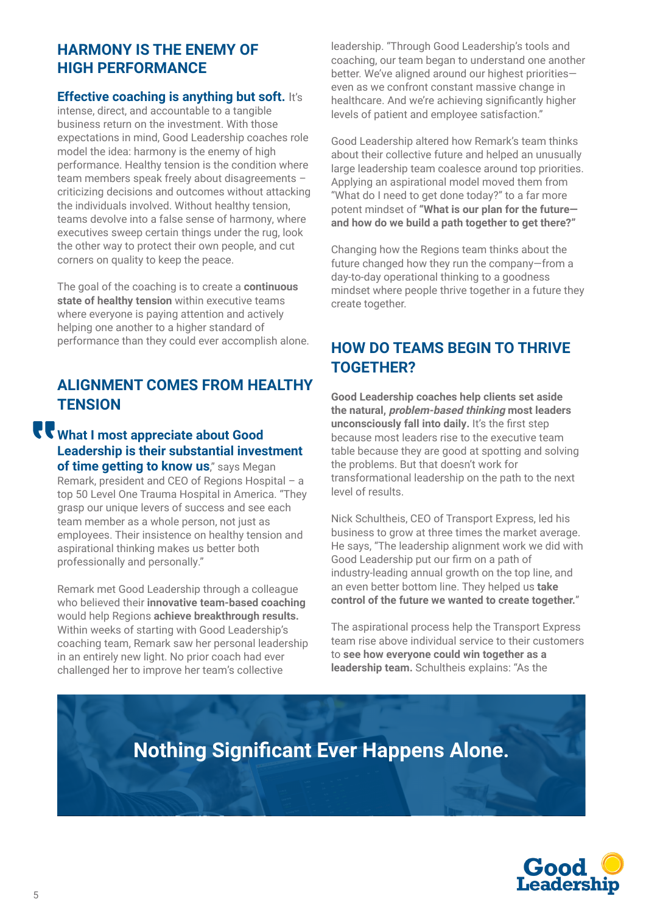## **HARMONY IS THE ENEMY OF HIGH PERFORMANCE**

#### **Effective coaching is anything but soft.** It's

intense, direct, and accountable to a tangible business return on the investment. With those expectations in mind, Good Leadership coaches role model the idea: harmony is the enemy of high performance. Healthy tension is the condition where team members speak freely about disagreements – criticizing decisions and outcomes without attacking the individuals involved. Without healthy tension, teams devolve into a false sense of harmony, where executives sweep certain things under the rug, look the other way to protect their own people, and cut corners on quality to keep the peace.

The goal of the coaching is to create a **continuous state of healthy tension** within executive teams where everyone is paying attention and actively helping one another to a higher standard of performance than they could ever accomplish alone.

## **ALIGNMENT COMES FROM HEALTHY TENSION**

## **What I most appreciate about Good Leadership is their substantial investment of time getting to know us**," says Megan

Remark, president and CEO of Regions Hospital – a top 50 Level One Trauma Hospital in America. "They grasp our unique levers of success and see each team member as a whole person, not just as employees. Their insistence on healthy tension and aspirational thinking makes us better both professionally and personally."

Remark met Good Leadership through a colleague who believed their **innovative team-based coaching**  would help Regions **achieve breakthrough results.** Within weeks of starting with Good Leadership's coaching team, Remark saw her personal leadership in an entirely new light. No prior coach had ever challenged her to improve her team's collective

leadership. "Through Good Leadership's tools and coaching, our team began to understand one another better. We've aligned around our highest prioritieseven as we confront constant massive change in healthcare. And we're achieving significantly higher levels of patient and employee satisfaction."

Good Leadership altered how Remark's team thinks about their collective future and helped an unusually large leadership team coalesce around top priorities. Applying an aspirational model moved them from "What do I need to get done today?" to a far more potent mindset of **"What is our plan for the future and how do we build a path together to get there?"** 

Changing how the Regions team thinks about the future changed how they run the company—from a day-to-day operational thinking to a goodness mindset where people thrive together in a future they create together.

## **HOW DO TEAMS BEGIN TO THRIVE TOGETHER?**

**Good Leadership coaches help clients set aside the natural, problem-based thinking most leaders unconsciously fall into daily.** It's the first step because most leaders rise to the executive team table because they are good at spotting and solving the problems. But that doesn't work for transformational leadership on the path to the next level of results.

Nick Schultheis, CEO of Transport Express, led his business to grow at three times the market average. He says, "The leadership alignment work we did with Good Leadership put our firm on a path of industry-leading annual growth on the top line, and an even better bottom line. They helped us **take control of the future we wanted to create together.**"

The aspirational process help the Transport Express team rise above individual service to their customers to **see how everyone could win together as a leadership team.** Schultheis explains: "As the

# **Nothing Significant Ever Happens Alone.**

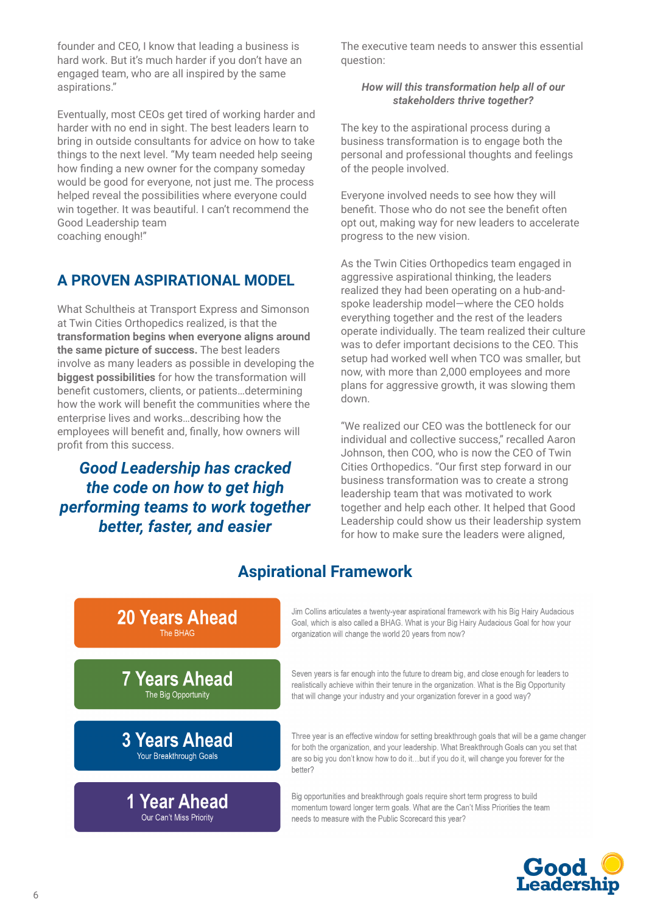founder and CEO, I know that leading a business is hard work. But it's much harder if you don't have an engaged team, who are all inspired by the same aspirations."

Eventually, most CEOs get tired of working harder and harder with no end in sight. The best leaders learn to bring in outside consultants for advice on how to take things to the next level. "My team needed help seeing how finding a new owner for the company someday would be good for everyone, not just me. The process helped reveal the possibilities where everyone could win together. It was beautiful. I can't recommend the Good Leadership team coaching enough!"

## **A PROVEN ASPIRATIONAL MODEL**

What Schultheis at Transport Express and Simonson at Twin Cities Orthopedics realized, is that the **transformation begins when everyone aligns around the same picture of success.** The best leaders involve as many leaders as possible in developing the **biggest possibilities** for how the transformation will benefit customers, clients, or patients…determining how the work will benefit the communities where the enterprise lives and works…describing how the employees will benefit and, finally, how owners will profit from this success.

*Good Leadership has cracked the code on how to get high performing teams to work together better, faster, and easier*

The executive team needs to answer this essential question:

#### *How will this transformation help all of our stakeholders thrive together?*

The key to the aspirational process during a business transformation is to engage both the personal and professional thoughts and feelings of the people involved.

Everyone involved needs to see how they will benefit. Those who do not see the benefit often opt out, making way for new leaders to accelerate progress to the new vision.

As the Twin Cities Orthopedics team engaged in aggressive aspirational thinking, the leaders realized they had been operating on a hub-andspoke leadership model—where the CEO holds everything together and the rest of the leaders operate individually. The team realized their culture was to defer important decisions to the CEO. This setup had worked well when TCO was smaller, but now, with more than 2,000 employees and more plans for aggressive growth, it was slowing them down.

"We realized our CEO was the bottleneck for our individual and collective success," recalled Aaron Johnson, then COO, who is now the CEO of Twin Cities Orthopedics. "Our first step forward in our business transformation was to create a strong leadership team that was motivated to work together and help each other. It helped that Good Leadership could show us their leadership system for how to make sure the leaders were aligned,

#### Jim Collins articulates a twenty-year aspirational framework with his Big Hairy Audacious 20 Years Ahead Goal, which is also called a BHAG. What is your Big Hairy Audacious Goal for how your The BHAG organization will change the world 20 years from now? **7 Years Ahead** Seven years is far enough into the future to dream big, and close enough for leaders to realistically achieve within their tenure in the organization. What is the Big Opportunity The Big Opportunity that will change your industry and your organization forever in a good way? **3 Years Ahead** Three year is an effective window for setting breakthrough goals that will be a game changer for both the organization, and your leadership. What Breakthrough Goals can you set that Your Breakthrough Goals are so big you don't know how to do it...but if you do it, will change you forever for the better? Big opportunities and breakthrough goals require short term progress to build 1 Year Ahead momentum toward longer term goals. What are the Can't Miss Priorities the team Our Can't Miss Priority needs to measure with the Public Scorecard this year?

## **Aspirational Framework**

**Good**<br>Leadersh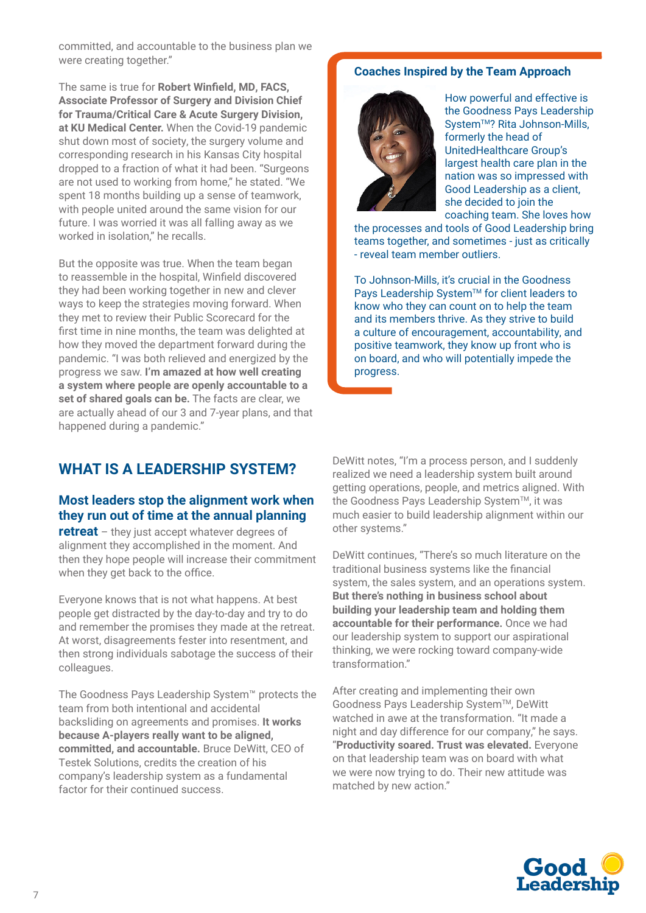committed, and accountable to the business plan we were creating together."

The same is true for **Robert Winfield, MD, FACS, Associate Professor of Surgery and Division Chief for Trauma/Critical Care & Acute Surgery Division, at KU Medical Center.** When the Covid-19 pandemic shut down most of society, the surgery volume and corresponding research in his Kansas City hospital dropped to a fraction of what it had been. "Surgeons are not used to working from home," he stated. "We spent 18 months building up a sense of teamwork, with people united around the same vision for our future. I was worried it was all falling away as we worked in isolation," he recalls.

But the opposite was true. When the team began to reassemble in the hospital, Winfield discovered they had been working together in new and clever ways to keep the strategies moving forward. When they met to review their Public Scorecard for the first time in nine months, the team was delighted at how they moved the department forward during the pandemic. "I was both relieved and energized by the progress we saw. **I'm amazed at how well creating a system where people are openly accountable to a set of shared goals can be.** The facts are clear, we are actually ahead of our 3 and 7-year plans, and that happened during a pandemic."

#### **Coaches Inspired by the Team Approach**



How powerful and effective is the Goodness Pays Leadership System<sup>™?</sup> Rita Johnson-Mills, formerly the head of UnitedHealthcare Group's largest health care plan in the nation was so impressed with Good Leadership as a client, she decided to join the coaching team. She loves how

the processes and tools of Good Leadership bring teams together, and sometimes - just as critically - reveal team member outliers.

To Johnson-Mills, it's crucial in the Goodness Pays Leadership System™ for client leaders to know who they can count on to help the team and its members thrive. As they strive to build a culture of encouragement, accountability, and positive teamwork, they know up front who is on board, and who will potentially impede the progress.

## **WHAT IS A LEADERSHIP SYSTEM?**

#### **Most leaders stop the alignment work when they run out of time at the annual planning**

**retreat** – they just accept whatever degrees of alignment they accomplished in the moment. And then they hope people will increase their commitment when they get back to the office.

Everyone knows that is not what happens. At best people get distracted by the day-to-day and try to do and remember the promises they made at the retreat. At worst, disagreements fester into resentment, and then strong individuals sabotage the success of their colleagues.

The Goodness Pays Leadership System™ protects the team from both intentional and accidental backsliding on agreements and promises. **It works because A-players really want to be aligned, committed, and accountable.** Bruce DeWitt, CEO of Testek Solutions, credits the creation of his company's leadership system as a fundamental factor for their continued success.

DeWitt notes, "I'm a process person, and I suddenly realized we need a leadership system built around getting operations, people, and metrics aligned. With the Goodness Pays Leadership System™, it was much easier to build leadership alignment within our other systems."

DeWitt continues, "There's so much literature on the traditional business systems like the financial system, the sales system, and an operations system. **But there's nothing in business school about building your leadership team and holding them accountable for their performance.** Once we had our leadership system to support our aspirational thinking, we were rocking toward company-wide transformation."

After creating and implementing their own Goodness Pays Leadership System™, DeWitt watched in awe at the transformation. "It made a night and day difference for our company," he says. "**Productivity soared. Trust was elevated.** Everyone on that leadership team was on board with what we were now trying to do. Their new attitude was matched by new action."

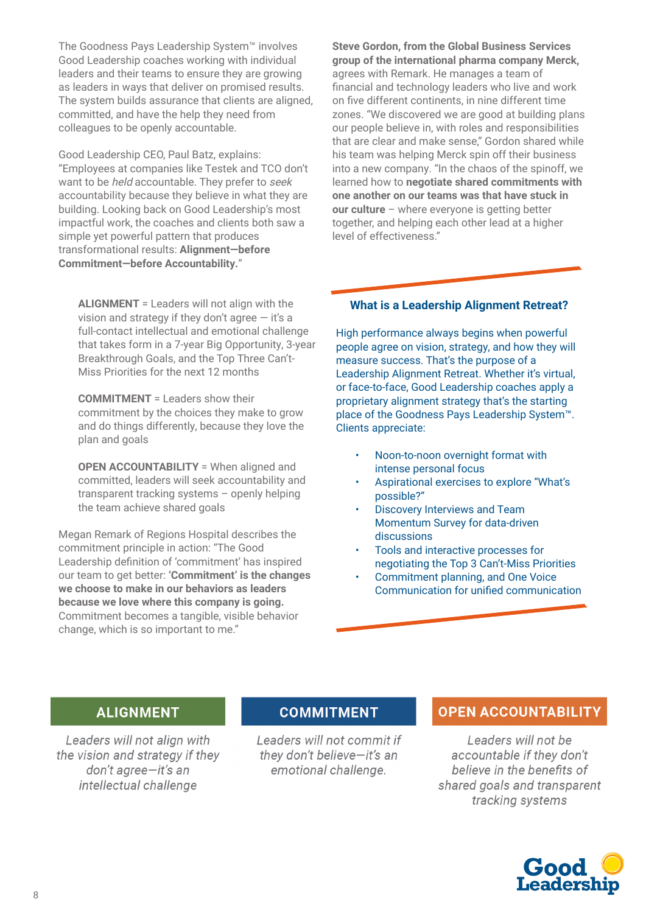The Goodness Pays Leadership System™ involves Good Leadership coaches working with individual leaders and their teams to ensure they are growing as leaders in ways that deliver on promised results. The system builds assurance that clients are aligned, committed, and have the help they need from colleagues to be openly accountable.

Good Leadership CEO, Paul Batz, explains: "Employees at companies like Testek and TCO don't want to be *held* accountable. They prefer to seek accountability because they believe in what they are building. Looking back on Good Leadership's most impactful work, the coaches and clients both saw a simple yet powerful pattern that produces transformational results: **Alignment—before Commitment—before Accountability.**"

**ALIGNMENT** = Leaders will not align with the vision and strategy if they don't agree — it's a full-contact intellectual and emotional challenge that takes form in a 7-year Big Opportunity, 3-year Breakthrough Goals, and the Top Three Can't-Miss Priorities for the next 12 months

**COMMITMENT** = Leaders show their commitment by the choices they make to grow and do things differently, because they love the plan and goals

**OPEN ACCOUNTABILITY** = When aligned and committed, leaders will seek accountability and transparent tracking systems – openly helping the team achieve shared goals

Megan Remark of Regions Hospital describes the commitment principle in action: "The Good Leadership definition of 'commitment' has inspired our team to get better: **'Commitment' is the changes we choose to make in our behaviors as leaders because we love where this company is going.** Commitment becomes a tangible, visible behavior change, which is so important to me."

**Steve Gordon, from the Global Business Services group of the international pharma company Merck,** agrees with Remark. He manages a team of financial and technology leaders who live and work on five different continents, in nine different time zones. "We discovered we are good at building plans our people believe in, with roles and responsibilities that are clear and make sense," Gordon shared while his team was helping Merck spin off their business into a new company. "In the chaos of the spinoff, we learned how to **negotiate shared commitments with one another on our teams was that have stuck in our culture** – where everyone is getting better together, and helping each other lead at a higher level of effectiveness."

#### **What is a Leadership Alignment Retreat?**

High performance always begins when powerful people agree on vision, strategy, and how they will measure success. That's the purpose of a Leadership Alignment Retreat. Whether it's virtual, or face-to-face, Good Leadership coaches apply a proprietary alignment strategy that's the starting place of the Goodness Pays Leadership System™. Clients appreciate:

- Noon-to-noon overnight format with intense personal focus
- Aspirational exercises to explore "What's possible?"
- Discovery Interviews and Team Momentum Survey for data-driven discussions
- Tools and interactive processes for negotiating the Top 3 Can't-Miss Priorities
- Commitment planning, and One Voice Communication for unified communication

#### **ALIGNMENT**

Leaders will not align with the vision and strategy if they don't agree-it's an intellectual challenge

#### **COMMITMENT**

Leaders will not commit if they don't believe-it's an emotional challenge.

#### **OPEN ACCOUNTABILITY**

Leaders will not be accountable if they don't believe in the benefits of shared goals and transparent tracking systems

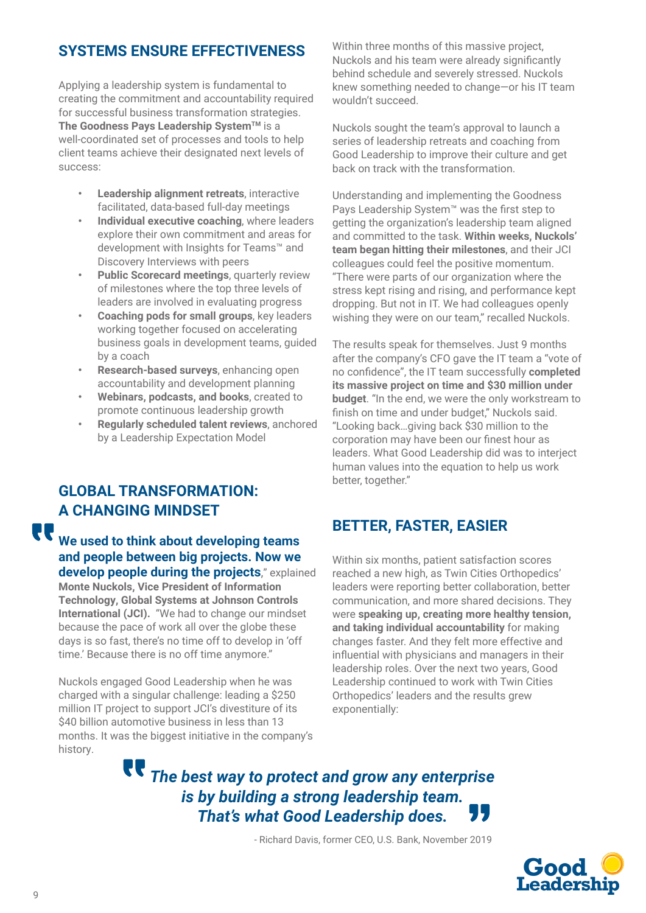## **SYSTEMS ENSURE EFFECTIVENESS**

Applying a leadership system is fundamental to creating the commitment and accountability required for successful business transformation strategies. **The Goodness Pays Leadership System™** is a well-coordinated set of processes and tools to help client teams achieve their designated next levels of success:

- **• Leadership alignment retreats**, interactive facilitated, data-based full-day meetings
- **• Individual executive coaching**, where leaders explore their own commitment and areas for development with Insights for Teams™ and Discovery Interviews with peers
- **• Public Scorecard meetings**, quarterly review of milestones where the top three levels of leaders are involved in evaluating progress
- **• Coaching pods for small groups**, key leaders working together focused on accelerating business goals in development teams, guided by a coach
- **• Research-based surveys**, enhancing open accountability and development planning
- **• Webinars, podcasts, and books**, created to promote continuous leadership growth
- **• Regularly scheduled talent reviews**, anchored by a Leadership Expectation Model

## **GLOBAL TRANSFORMATION: A CHANGING MINDSET**

**We used to think about developing teams and people between big projects. Now we develop people during the projects**," explained **Monte Nuckols, Vice President of Information Technology, Global Systems at Johnson Controls International (JCI).** "We had to change our mindset because the pace of work all over the globe these days is so fast, there's no time off to develop in 'off time.' Because there is no off time anymore."

Nuckols engaged Good Leadership when he was charged with a singular challenge: leading a \$250 million IT project to support JCI's divestiture of its \$40 billion automotive business in less than 13 months. It was the biggest initiative in the company's history.

Within three months of this massive project, Nuckols and his team were already significantly behind schedule and severely stressed. Nuckols knew something needed to change—or his IT team wouldn't succeed.

Nuckols sought the team's approval to launch a series of leadership retreats and coaching from Good Leadership to improve their culture and get back on track with the transformation.

Understanding and implementing the Goodness Pays Leadership System™ was the first step to getting the organization's leadership team aligned and committed to the task. **Within weeks, Nuckols' team began hitting their milestones**, and their JCI colleagues could feel the positive momentum. "There were parts of our organization where the stress kept rising and rising, and performance kept dropping. But not in IT. We had colleagues openly wishing they were on our team," recalled Nuckols.

The results speak for themselves. Just 9 months after the company's CFO gave the IT team a "vote of no confidence", the IT team successfully **completed its massive project on time and \$30 million under budget**. "In the end, we were the only workstream to finish on time and under budget," Nuckols said. "Looking back…giving back \$30 million to the corporation may have been our finest hour as leaders. What Good Leadership did was to interject human values into the equation to help us work better, together."

## **BETTER, FASTER, EASIER**

Within six months, patient satisfaction scores reached a new high, as Twin Cities Orthopedics' leaders were reporting better collaboration, better communication, and more shared decisions. They were **speaking up, creating more healthy tension, and taking individual accountability** for making changes faster. And they felt more effective and influential with physicians and managers in their leadership roles. Over the next two years, Good Leadership continued to work with Twin Cities Orthopedics' leaders and the results grew exponentially:

*The best way to protect and grow any enterprise is by building a strong leadership team.*  , 17 *That's what Good Leadership does.*

- Richard Davis, former CEO, U.S. Bank, November 2019



**TT**